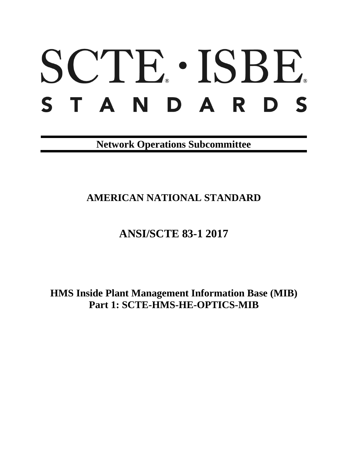# SCTE. ISBE. STANDARDS

**Network Operations Subcommittee**

**AMERICAN NATIONAL STANDARD**

# **ANSI/SCTE 83-1 2017**

**HMS Inside Plant Management Information Base (MIB) Part 1: SCTE-HMS-HE-OPTICS-MIB**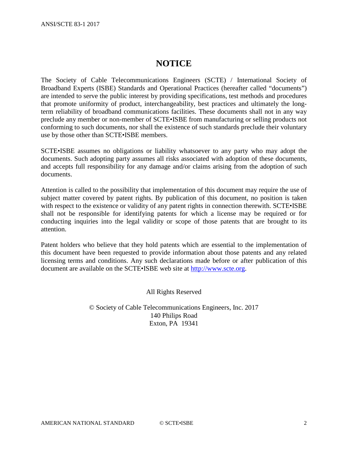## **NOTICE**

The Society of Cable Telecommunications Engineers (SCTE) / International Society of Broadband Experts (ISBE) Standards and Operational Practices (hereafter called "documents") are intended to serve the public interest by providing specifications, test methods and procedures that promote uniformity of product, interchangeability, best practices and ultimately the longterm reliability of broadband communications facilities. These documents shall not in any way preclude any member or non-member of SCTE•ISBE from manufacturing or selling products not conforming to such documents, nor shall the existence of such standards preclude their voluntary use by those other than SCTE•ISBE members.

SCTE•ISBE assumes no obligations or liability whatsoever to any party who may adopt the documents. Such adopting party assumes all risks associated with adoption of these documents, and accepts full responsibility for any damage and/or claims arising from the adoption of such documents.

Attention is called to the possibility that implementation of this document may require the use of subject matter covered by patent rights. By publication of this document, no position is taken with respect to the existence or validity of any patent rights in connection therewith. SCTE•ISBE shall not be responsible for identifying patents for which a license may be required or for conducting inquiries into the legal validity or scope of those patents that are brought to its attention.

Patent holders who believe that they hold patents which are essential to the implementation of this document have been requested to provide information about those patents and any related licensing terms and conditions. Any such declarations made before or after publication of this document are available on the SCTE•ISBE web site at [http://www.scte.org.](http://www.scte.org/)

All Rights Reserved

© Society of Cable Telecommunications Engineers, Inc. 2017 140 Philips Road Exton, PA 19341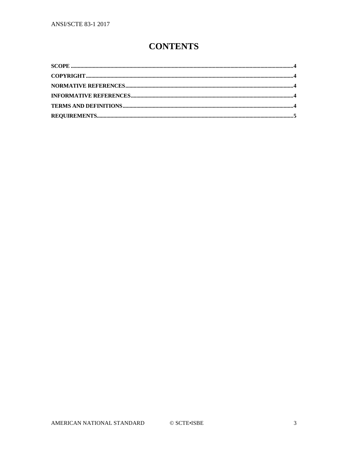## **CONTENTS**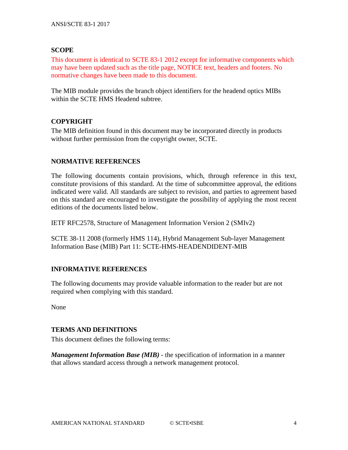#### <span id="page-3-0"></span>**SCOPE**

This document is identical to SCTE 83-1 2012 except for informative components which may have been updated such as the title page, NOTICE text, headers and footers. No normative changes have been made to this document.

The MIB module provides the branch object identifiers for the headend optics MIBs within the SCTE HMS Headend subtree.

#### <span id="page-3-1"></span>**COPYRIGHT**

The MIB definition found in this document may be incorporated directly in products without further permission from the copyright owner, SCTE.

#### <span id="page-3-2"></span>**NORMATIVE REFERENCES**

The following documents contain provisions, which, through reference in this text, constitute provisions of this standard. At the time of subcommittee approval, the editions indicated were valid. All standards are subject to revision, and parties to agreement based on this standard are encouraged to investigate the possibility of applying the most recent editions of the documents listed below.

IETF RFC2578, Structure of Management Information Version 2 (SMIv2)

SCTE 38-11 2008 (formerly HMS 114), Hybrid Management Sub-layer Management Information Base (MIB) Part 11: SCTE-HMS-HEADENDIDENT-MIB

#### <span id="page-3-3"></span>**INFORMATIVE REFERENCES**

The following documents may provide valuable information to the reader but are not required when complying with this standard.

None

#### <span id="page-3-4"></span>**TERMS AND DEFINITIONS**

This document defines the following terms:

*Management Information Base (MIB)* - the specification of information in a manner that allows standard access through a network management protocol.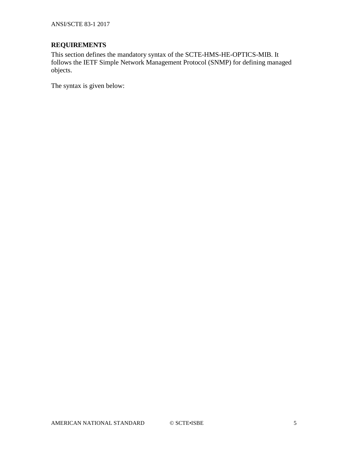ANSI/SCTE 83-1 2017

### <span id="page-4-0"></span>**REQUIREMENTS**

This section defines the mandatory syntax of the SCTE-HMS-HE-OPTICS-MIB. It follows the IETF Simple Network Management Protocol (SNMP) for defining managed objects.

The syntax is given below: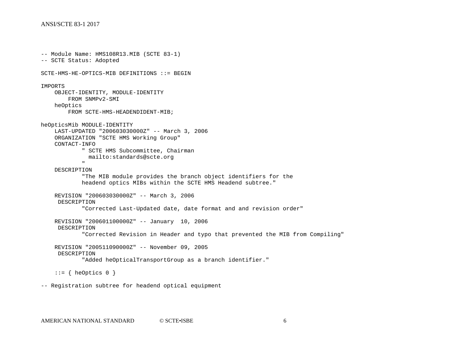#### ANSI/SCTE 83-1 2017

```
-- Module Name: HMS108R13.MIB (SCTE 83-1)
-- SCTE Status: Adopted
SCTE-HMS-HE-OPTICS-MIB DEFINITIONS ::= BEGIN
IMPORTS
     OBJECT-IDENTITY, MODULE-IDENTITY
          FROM SNMPv2-SMI
     heOptics
          FROM SCTE-HMS-HEADENDIDENT-MIB;
heOpticsMib MODULE-IDENTITY
     LAST-UPDATED "200603030000Z" -- March 3, 2006
     ORGANIZATION "SCTE HMS Working Group"
     CONTACT-INFO
                " SCTE HMS Subcommittee, Chairman
                 mailto:standards@scte.org
" "The Contract of the Contract of the Contract of the Contract of the Contract of the Contract of the Contract of the Contract of the Contract of the Contract of the Contract of the Contract of the Contract of the Contrac
     DESCRIPTION
                "The MIB module provides the branch object identifiers for the
               headend optics MIBs within the SCTE HMS Headend subtree."
     REVISION "200603030000Z" -- March 3, 2006
      DESCRIPTION
                "Corrected Last-Updated date, date format and and revision order"
     REVISION "200601100000Z" -- January 10, 2006
      DESCRIPTION
                "Corrected Revision in Header and typo that prevented the MIB from Compiling"
     REVISION "200511090000Z" -- November 09, 2005
      DESCRIPTION
                "Added heOpticalTransportGroup as a branch identifier."
     ::= { heOptics 0 }
```
-- Registration subtree for headend optical equipment